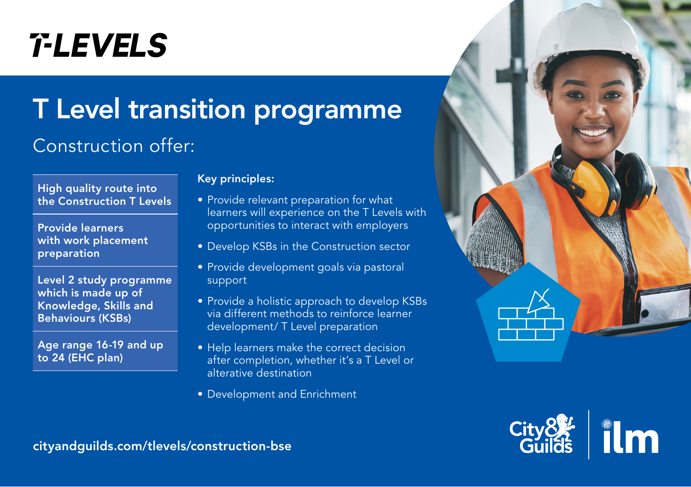# **T-LEVELS**

## T Level transition programme

## Construction offer:



Provide learners with work placement preparation

Level 2 study programme which is made up of Knowledge, Skills and Behaviours (KSBs)

Age range 16-19 and up to 24 (EHC plan)

#### Key principles:

- Provide relevant preparation for what learners will experience on the T Levels with opportunities to interact with employers
- Develop KSBs in the Construction sector
- Provide development goals via pastoral support
- Provide a holistic approach to develop KSBs via different methods to reinforce learner development/ T Level preparation
- Help learners make the correct decision after completion, whether it's a T Level or alterative destination
- Development and Enrichment





[cityandguilds.com/tlevels/construction-bse](https://www.cityandguilds.com/tlevels/construction-bse)